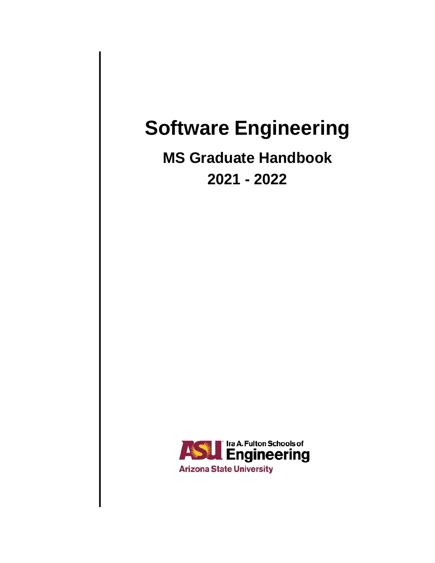# **Software Engineering**

# **MS Graduate Handbook 2021 - 2022**

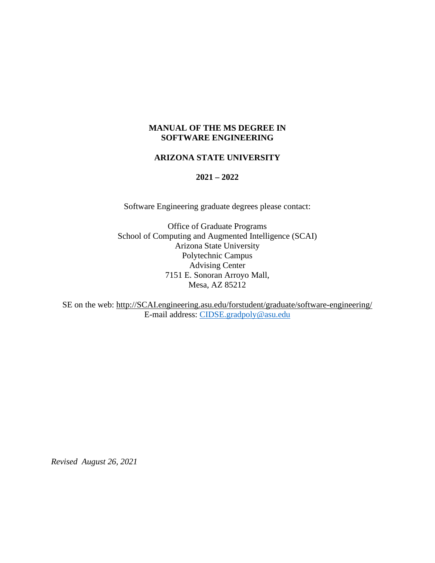### **MANUAL OF THE MS DEGREE IN SOFTWARE ENGINEERING**

#### **ARIZONA STATE UNIVERSITY**

#### **2021 – 2022**

Software Engineering graduate degrees please contact:

Office of Graduate Programs School of Computing and Augmented Intelligence (SCAI) Arizona State University Polytechnic Campus Advising Center 7151 E. Sonoran Arroyo Mall, Mesa, AZ 85212

SE on the web: [http://SCAI.engineering.asu.edu/forstudent/graduate/software-engineering/](http://cidse.engineering.asu.edu/forstudent/graduate/software-engineering/) E-mail address: [CIDSE.gradpoly@asu.edu](mailto:CIDSE.gradpoly@asu.edu)

*Revised August 26, 2021*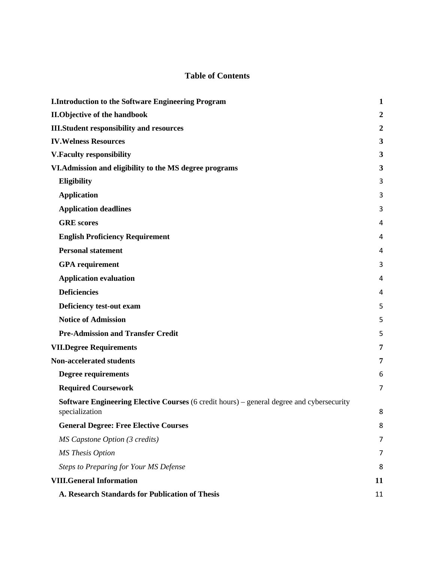# **Table of Contents**

| <b>I.Introduction to the Software Engineering Program</b>                                                   | $\mathbf{1}$   |
|-------------------------------------------------------------------------------------------------------------|----------------|
| <b>II.Objective of the handbook</b>                                                                         | $\overline{2}$ |
| <b>III.Student responsibility and resources</b>                                                             | $\overline{2}$ |
| <b>IV. Welness Resources</b>                                                                                | 3              |
| <b>V.Faculty responsibility</b>                                                                             | 3              |
| VI. Admission and eligibility to the MS degree programs                                                     | 3              |
| Eligibility                                                                                                 | 3              |
| <b>Application</b>                                                                                          | 3              |
| <b>Application deadlines</b>                                                                                | 3              |
| <b>GRE</b> scores                                                                                           | 4              |
| <b>English Proficiency Requirement</b>                                                                      | 4              |
| <b>Personal statement</b>                                                                                   | 4              |
| <b>GPA</b> requirement                                                                                      | 3              |
| <b>Application evaluation</b>                                                                               | 4              |
| <b>Deficiencies</b>                                                                                         | 4              |
| Deficiency test-out exam                                                                                    | 5              |
| <b>Notice of Admission</b>                                                                                  | 5              |
| <b>Pre-Admission and Transfer Credit</b>                                                                    | 5              |
| <b>VII.Degree Requirements</b>                                                                              | 7              |
| Non-accelerated students                                                                                    | 7              |
| <b>Degree requirements</b>                                                                                  | 6              |
| <b>Required Coursework</b>                                                                                  | 7              |
| Software Engineering Elective Courses (6 credit hours) - general degree and cybersecurity<br>specialization | 8              |
| <b>General Degree: Free Elective Courses</b>                                                                | 8              |
| MS Capstone Option (3 credits)                                                                              | 7              |
| <b>MS</b> Thesis Option                                                                                     | 7              |
| <b>Steps to Preparing for Your MS Defense</b>                                                               | 8              |
| <b>VIII.General Information</b>                                                                             | 11             |
| A. Research Standards for Publication of Thesis                                                             | 11             |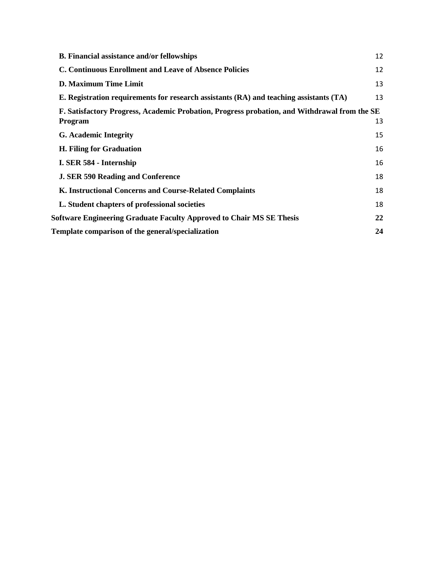| <b>B.</b> Financial assistance and/or fellowships                                            | 12 |  |
|----------------------------------------------------------------------------------------------|----|--|
| C. Continuous Enrollment and Leave of Absence Policies                                       | 12 |  |
| D. Maximum Time Limit                                                                        | 13 |  |
| E. Registration requirements for research assistants (RA) and teaching assistants (TA)       | 13 |  |
| F. Satisfactory Progress, Academic Probation, Progress probation, and Withdrawal from the SE |    |  |
| <b>Program</b>                                                                               | 13 |  |
| <b>G.</b> Academic Integrity                                                                 | 15 |  |
| H. Filing for Graduation                                                                     | 16 |  |
| I. SER 584 - Internship                                                                      | 16 |  |
| <b>J. SER 590 Reading and Conference</b>                                                     | 18 |  |
| K. Instructional Concerns and Course-Related Complaints                                      | 18 |  |
| L. Student chapters of professional societies                                                | 18 |  |
| <b>Software Engineering Graduate Faculty Approved to Chair MS SE Thesis</b>                  | 22 |  |
| Template comparison of the general/specialization                                            | 24 |  |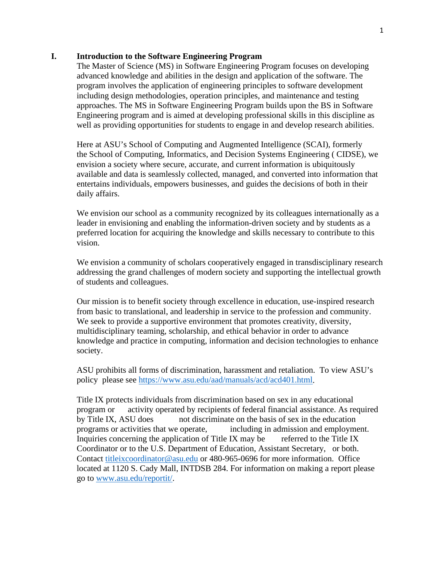#### <span id="page-4-0"></span>**I. Introduction to the Software Engineering Program**

The Master of Science (MS) in Software Engineering Program focuses on developing advanced knowledge and abilities in the design and application of the software. The program involves the application of engineering principles to software development including design methodologies, operation principles, and maintenance and testing approaches. The MS in Software Engineering Program builds upon the BS in Software Engineering program and is aimed at developing professional skills in this discipline as well as providing opportunities for students to engage in and develop research abilities.

Here at ASU's School of Computing and Augmented Intelligence (SCAI), formerly the School of Computing, Informatics, and Decision Systems Engineering ( CIDSE), we envision a society where secure, accurate, and current information is ubiquitously available and data is seamlessly collected, managed, and converted into information that entertains individuals, empowers businesses, and guides the decisions of both in their daily affairs.

We envision our school as a community recognized by its colleagues internationally as a leader in envisioning and enabling the information-driven society and by students as a preferred location for acquiring the knowledge and skills necessary to contribute to this vision.

We envision a community of scholars cooperatively engaged in transdisciplinary research addressing the grand challenges of modern society and supporting the intellectual growth of students and colleagues.

Our mission is to benefit society through excellence in education, use-inspired research from basic to translational, and leadership in service to the profession and community. We seek to provide a supportive environment that promotes creativity, diversity, multidisciplinary teaming, scholarship, and ethical behavior in order to advance knowledge and practice in computing, information and decision technologies to enhance society.

ASU prohibits all forms of discrimination, harassment and retaliation. To view ASU's policy please see [https://www.asu.edu/aad/manuals/acd/acd401.html.](https://www.asu.edu/aad/manuals/acd/acd401.html)

Title IX protects individuals from discrimination based on sex in any educational program or activity operated by recipients of federal financial assistance. As required by Title IX, ASU does not discriminate on the basis of sex in the education programs or activities that we operate, including in admission and employment. Inquiries concerning the application of Title IX may be referred to the Title IX Coordinator or to the U.S. Department of Education, Assistant Secretary, or both. Contact [titleixcoordinator@asu.edu](mailto:titleixcoordinator@asu.edu) or 480-965-0696 for more information. Office located at 1120 S. Cady Mall, INTDSB 284. For information on making a report please go to [www.asu.edu/reportit/.](http://www.asu.edu/reportit/)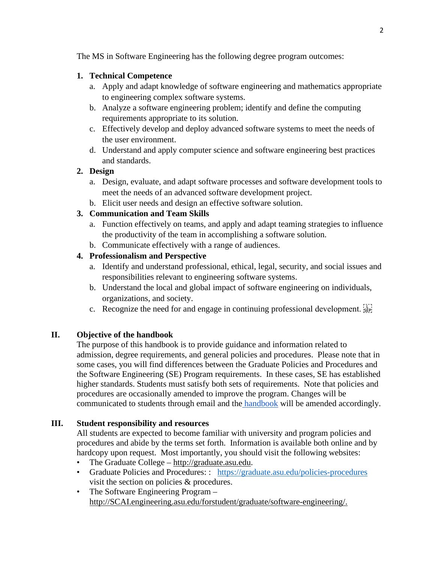The MS in Software Engineering has the following degree program outcomes:

# **1. Technical Competence**

- a. Apply and adapt knowledge of software engineering and mathematics appropriate to engineering complex software systems.
- b. Analyze a software engineering problem; identify and define the computing requirements appropriate to its solution.
- c. Effectively develop and deploy advanced software systems to meet the needs of the user environment.
- d. Understand and apply computer science and software engineering best practices and standards.

# **2. Design**

- a. Design, evaluate, and adapt software processes and software development tools to meet the needs of an advanced software development project.
- b. Elicit user needs and design an effective software solution.

# **3. Communication and Team Skills**

- a. Function effectively on teams, and apply and adapt teaming strategies to influence the productivity of the team in accomplishing a software solution.
- b. Communicate effectively with a range of audiences.

# **4. Professionalism and Perspective**

- a. Identify and understand professional, ethical, legal, security, and social issues and responsibilities relevant to engineering software systems.
- b. Understand the local and global impact of software engineering on individuals, organizations, and society.
- c. Recognize the need for and engage in continuing professional development.  $\sum_{i=1}^{n}$

# <span id="page-5-0"></span>**II. Objective of the handbook**

The purpose of this handbook is to provide guidance and information related to admission, degree requirements, and general policies and procedures. Please note that in some cases, you will find differences between the Graduate Policies and Procedures and the Software Engineering (SE) Program requirements. In these cases, SE has established higher standards. Students must satisfy both sets of requirements. Note that policies and procedures are occasionally amended to improve the program. Changes will be communicated to students through email and the [handbook](https://scai.engineering.asu.edu/handbooks/) will be amended accordingly.

# <span id="page-5-1"></span>**III. Student responsibility and resources**

All students are expected to become familiar with university and program policies and procedures and abide by the terms set forth. Information is available both online and by hardcopy upon request. Most importantly, you should visit the following websites:

- The Graduate College [http://graduate.asu.edu.](http://graduate.asu.edu/)
- Graduate Policies and Procedures:: <https://graduate.asu.edu/policies-procedures> visit the section on policies & procedures.
- The Software Engineering Program [http://SCAI.engineering.asu.edu/forstudent/graduate/software-engineering/.](http://cidse.engineering.asu.edu/forstudent/graduate/software-engineering/)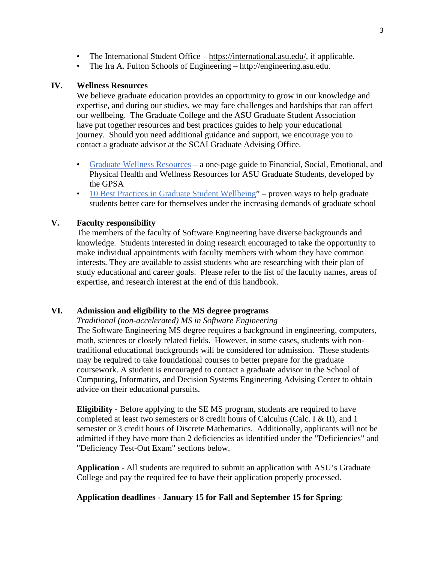- The International Student Office [https://international.asu.edu/,](https://international.asu.edu/) if applicable.
- The Ira A. Fulton Schools of Engineering [http://engineering.asu.edu.](http://engineering.asu.edu/)

#### **IV. Wellness Resources**

We believe graduate education provides an opportunity to grow in our knowledge and expertise, and during our studies, we may face challenges and hardships that can affect our wellbeing. The Graduate College and the ASU Graduate Student Association have put together resources and best practices guides to help your educational journey. Should you need additional guidance and support, we encourage you to contact a graduate advisor at the SCAI Graduate Advising Office.

- [Graduate Wellness Resources](https://graduate.asu.edu/sites/default/files/wellness_resources.pdf) a one-page guide to Financial, Social, Emotional, and Physical Health and Wellness Resources for ASU Graduate Students, developed by the GPSA
- [10 Best Practices in Graduate Student Wellbeing"](https://graduate.asu.edu/sites/default/files/student_well_being_best_practice.pdf) proven ways to help graduate students better care for themselves under the increasing demands of graduate school

#### <span id="page-6-0"></span>**V. Faculty responsibility**

The members of the faculty of Software Engineering have diverse backgrounds and knowledge. Students interested in doing research encouraged to take the opportunity to make individual appointments with faculty members with whom they have common interests. They are available to assist students who are researching with their plan of study educational and career goals. Please refer to the list of the faculty names, areas of expertise, and research interest at the end of this handbook.

#### <span id="page-6-1"></span>**VI. Admission and eligibility to the MS degree programs**

*Traditional (non-accelerated) MS in Software Engineering* The Software Engineering MS degree requires a background in engineering, computers, math, sciences or closely related fields. However, in some cases, students with nontraditional educational backgrounds will be considered for admission. These students may be required to take foundational courses to better prepare for the graduate coursework. A student is encouraged to contact a graduate advisor in the School of Computing, Informatics, and Decision Systems Engineering Advising Center to obtain advice on their educational pursuits.

<span id="page-6-2"></span>**Eligibility** - Before applying to the SE MS program, students are required to have completed at least two semesters or 8 credit hours of Calculus (Calc. I & II), and 1 semester or 3 credit hours of Discrete Mathematics. Additionally, applicants will not be admitted if they have more than 2 deficiencies as identified under the "Deficiencies" and "Deficiency Test-Out Exam" sections below.

<span id="page-6-3"></span>**Application** - All students are required to submit an application with ASU's Graduate College and pay the required fee to have their application properly processed.

#### <span id="page-6-4"></span>**Application deadlines** - **January 15 for Fall and September 15 for Spring**: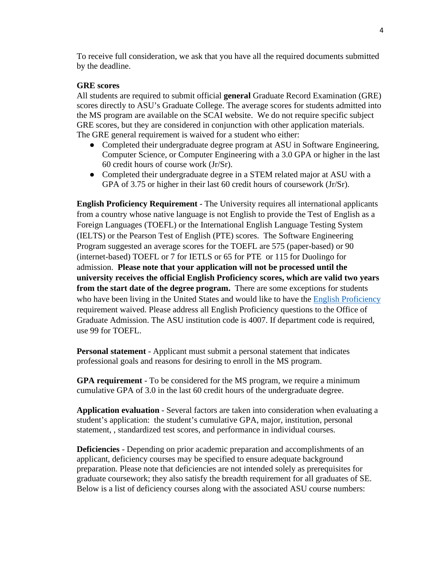To receive full consideration, we ask that you have all the required documents submitted by the deadline.

#### <span id="page-7-0"></span>**GRE scores**

All students are required to submit official **general** Graduate Record Examination (GRE) scores directly to ASU's Graduate College. The average scores for students admitted into the MS program are available on the SCAI website. We do not require specific subject GRE scores, but they are considered in conjunction with other application materials. The GRE general requirement is waived for a student who either:

- Completed their undergraduate degree program at ASU in Software Engineering, Computer Science, or Computer Engineering with a 3.0 GPA or higher in the last 60 credit hours of course work (Jr/Sr).
- Completed their undergraduate degree in a STEM related major at ASU with a GPA of 3.75 or higher in their last 60 credit hours of coursework (Jr/Sr).

<span id="page-7-1"></span>**English Proficiency Requirement** - The University requires all international applicants from a country whose native language is not English to provide the Test of English as a Foreign Languages (TOEFL) or the International English Language Testing System (IELTS) or the Pearson Test of English (PTE) scores. The Software Engineering Program suggested an average scores for the TOEFL are 575 (paper-based) or 90 (internet-based) TOEFL or 7 for IETLS or 65 for PTE or 115 for Duolingo for admission. **Please note that your application will not be processed until the university receives the official English Proficiency scores, which are valid two years from the start date of the degree program.** There are some exceptions for students who have been living in the United States and would like to have the [English Proficiency](https://admission.asu.edu/international/graduate/english-proficiency) requirement waived. Please address all English Proficiency questions to the Office of Graduate Admission. The ASU institution code is 4007. If department code is required, use 99 for TOEFL.

<span id="page-7-2"></span>**Personal statement** - Applicant must submit a personal statement that indicates professional goals and reasons for desiring to enroll in the MS program.

<span id="page-7-3"></span>**GPA requirement** - To be considered for the MS program, we require a minimum cumulative GPA of 3.0 in the last 60 credit hours of the undergraduate degree.

<span id="page-7-4"></span>**Application evaluation** - Several factors are taken into consideration when evaluating a student's application: the student's cumulative GPA, major, institution, personal statement, , standardized test scores, and performance in individual courses.

<span id="page-7-5"></span>**Deficiencies** - Depending on prior academic preparation and accomplishments of an applicant, deficiency courses may be specified to ensure adequate background preparation. Please note that deficiencies are not intended solely as prerequisites for graduate coursework; they also satisfy the breadth requirement for all graduates of SE. Below is a list of deficiency courses along with the associated ASU course numbers: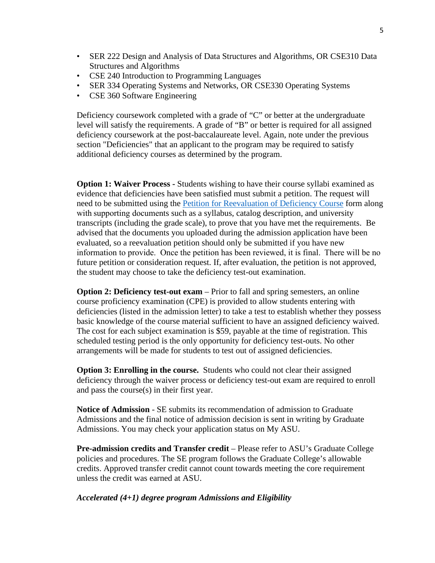- SER 222 Design and Analysis of Data Structures and Algorithms, OR CSE310 Data Structures and Algorithms
- CSE 240 Introduction to Programming Languages
- SER 334 Operating Systems and Networks, OR CSE330 Operating Systems
- CSE 360 Software Engineering

Deficiency coursework completed with a grade of "C" or better at the undergraduate level will satisfy the requirements. A grade of "B" or better is required for all assigned deficiency coursework at the post-baccalaureate level. Again, note under the previous section "Deficiencies" that an applicant to the program may be required to satisfy additional deficiency courses as determined by the program.

<span id="page-8-0"></span>**Option 1: Waiver Process -** Students wishing to have their course syllabi examined as evidence that deficiencies have been satisfied must submit a petition. The request will need to be submitted using the [Petition for Reevaluation of Deficiency Course](https://cidse.engineering.asu.edu/wp-content/uploads/2021/02/Petition-for-Reevaluation-of-Deficiency-Course-Fall21.docx) form along with supporting documents such as a syllabus, catalog description, and university transcripts (including the grade scale), to prove that you have met the requirements. Be advised that the documents you uploaded during the admission application have been evaluated, so a reevaluation petition should only be submitted if you have new information to provide. Once the petition has been reviewed, it is final.  There will be no future petition or consideration request. If, after evaluation, the petition is not approved, the student may choose to take the deficiency test-out examination.

**Option 2: Deficiency test-out exam** – Prior to fall and spring semesters, an online course proficiency examination (CPE) is provided to allow students entering with deficiencies (listed in the admission letter) to take a test to establish whether they possess basic knowledge of the course material sufficient to have an assigned deficiency waived. The cost for each subject examination is \$59, payable at the time of registration. This scheduled testing period is the only opportunity for deficiency test-outs. No other arrangements will be made for students to test out of assigned deficiencies.

**Option 3: Enrolling in the course.** Students who could not clear their assigned deficiency through the waiver process or deficiency test-out exam are required to enroll and pass the course(s) in their first year.

<span id="page-8-1"></span>**Notice of Admission** - SE submits its recommendation of admission to Graduate Admissions and the final notice of admission decision is sent in writing by Graduate Admissions. You may check your application status on My ASU.

**Pre-admission credits and Transfer credit** – Please refer to ASU's Graduate College policies and procedures. The SE program follows the Graduate College's allowable credits. Approved transfer credit cannot count towards meeting the core requirement unless the credit was earned at ASU.

#### *Accelerated (4+1) degree program Admissions and Eligibility*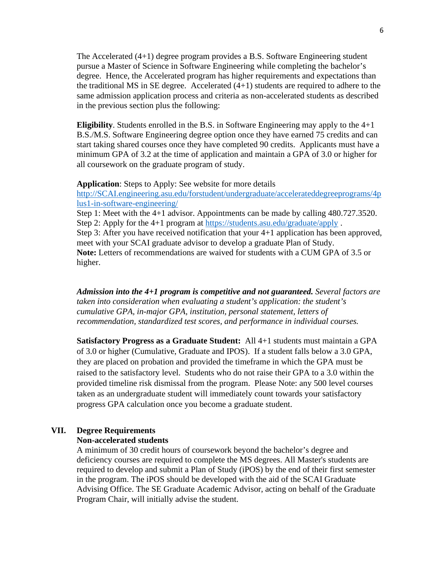The Accelerated (4+1) degree program provides a B.S. Software Engineering student pursue a Master of Science in Software Engineering while completing the bachelor's degree. Hence, the Accelerated program has higher requirements and expectations than the traditional MS in SE degree. Accelerated (4+1) students are required to adhere to the same admission application process and criteria as non-accelerated students as described in the previous section plus the following:

**Eligibility**. Students enrolled in the B.S. in Software Engineering may apply to the 4+1 B.S./M.S. Software Engineering degree option once they have earned 75 credits and can start taking shared courses once they have completed 90 credits. Applicants must have a minimum GPA of 3.2 at the time of application and maintain a GPA of 3.0 or higher for all coursework on the graduate program of study.

#### **Application**: Steps to Apply: See website for more details

[http://SCAI.engineering.asu.edu/forstudent/undergraduate/accelerateddegreeprograms/4p](http://cidse.engineering.asu.edu/forstudent/undergraduate/accelerateddegreeprograms/4plus1-in-software-engineering/) [lus1-in-software-engineering/](http://cidse.engineering.asu.edu/forstudent/undergraduate/accelerateddegreeprograms/4plus1-in-software-engineering/)

Step 1: Meet with the 4+1 advisor. Appointments can be made by calling 480.727.3520. Step 2: Apply for the 4+1 program at<https://students.asu.edu/graduate/apply> . Step 3: After you have received notification that your 4+1 application has been approved, meet with your SCAI graduate advisor to develop a graduate Plan of Study. **Note:** Letters of recommendations are waived for students with a CUM GPA of 3.5 or higher.

*Admission into the 4+1 program is competitive and not guaranteed. Several factors are taken into consideration when evaluating a student's application: the student's cumulative GPA, in-major GPA, institution, personal statement, letters of recommendation, standardized test scores, and performance in individual courses.*

**Satisfactory Progress as a Graduate Student:** All 4+1 students must maintain a GPA of 3.0 or higher (Cumulative, Graduate and IPOS). If a student falls below a 3.0 GPA, they are placed on probation and provided the timeframe in which the GPA must be raised to the satisfactory level. Students who do not raise their GPA to a 3.0 within the provided timeline risk dismissal from the program. Please Note: any 500 level courses taken as an undergraduate student will immediately count towards your satisfactory progress GPA calculation once you become a graduate student.

#### <span id="page-9-1"></span><span id="page-9-0"></span>**VII. Degree Requirements**

#### **Non-accelerated students**

A minimum of 30 credit hours of coursework beyond the bachelor's degree and deficiency courses are required to complete the MS degrees. All Master's students are required to develop and submit a Plan of Study (iPOS) by the end of their first semester in the program. The iPOS should be developed with the aid of the SCAI Graduate Advising Office. The SE Graduate Academic Advisor, acting on behalf of the Graduate Program Chair, will initially advise the student.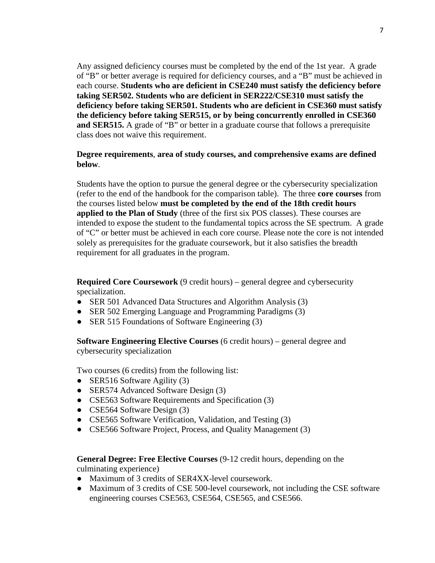Any assigned deficiency courses must be completed by the end of the 1st year. A grade of "B" or better average is required for deficiency courses, and a "B" must be achieved in each course. **Students who are deficient in CSE240 must satisfy the deficiency before taking SER502. Students who are deficient in SER222/CSE310 must satisfy the deficiency before taking SER501. Students who are deficient in CSE360 must satisfy the deficiency before taking SER515, or by being concurrently enrolled in CSE360 and SER515.** A grade of "B" or better in a graduate course that follows a prerequisite class does not waive this requirement.

#### <span id="page-10-0"></span>**Degree requirements**, **area of study courses, and comprehensive exams are defined below**.

Students have the option to pursue the general degree or the cybersecurity specialization (refer to the end of the handbook for the comparison table). The three **core courses** from the courses listed below **must be completed by the end of the 18th credit hours applied to the Plan of Study** (three of the first six POS classes). These courses are intended to expose the student to the fundamental topics across the SE spectrum. A grade of "C" or better must be achieved in each core course. Please note the core is not intended solely as prerequisites for the graduate coursework, but it also satisfies the breadth requirement for all graduates in the program.

<span id="page-10-1"></span>**Required Core Coursework** (9 credit hours) – general degree and cybersecurity specialization.

- SER 501 Advanced Data Structures and Algorithm Analysis (3)
- SER 502 Emerging Language and Programming Paradigms (3)
- SER 515 Foundations of Software Engineering (3)

<span id="page-10-2"></span>**Software Engineering Elective Courses** (6 credit hours) – general degree and cybersecurity specialization

Two courses (6 credits) from the following list:

- SER516 Software Agility (3)
- SER574 Advanced Software Design (3)
- CSE563 Software Requirements and Specification (3)
- CSE564 Software Design (3)
- CSE565 Software Verification, Validation, and Testing (3)
- CSE566 Software Project, Process, and Quality Management (3)

#### <span id="page-10-3"></span>**General Degree: Free Elective Courses** (9-12 credit hours, depending on the culminating experience)

- Maximum of 3 credits of SER4XX-level coursework.
- Maximum of 3 credits of CSE 500-level coursework, not including the CSE software engineering courses CSE563, CSE564, CSE565, and CSE566.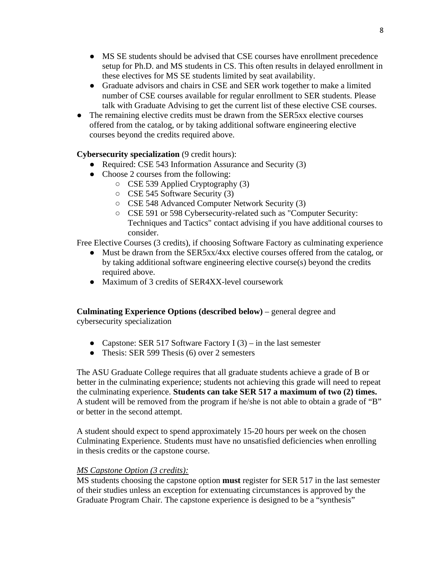- MS SE students should be advised that CSE courses have enrollment precedence setup for Ph.D. and MS students in CS. This often results in delayed enrollment in these electives for MS SE students limited by seat availability.
- Graduate advisors and chairs in CSE and SER work together to make a limited number of CSE courses available for regular enrollment to SER students. Please talk with Graduate Advising to get the current list of these elective CSE courses.
- The remaining elective credits must be drawn from the SER5xx elective courses offered from the catalog, or by taking additional software engineering elective courses beyond the credits required above.

# **Cybersecurity specialization** (9 credit hours):

- Required: CSE 543 Information Assurance and Security (3)
- Choose 2 courses from the following:
	- CSE 539 Applied Cryptography (3)
	- CSE 545 Software Security (3)
	- CSE 548 Advanced Computer Network Security (3)
	- CSE 591 or 598 Cybersecurity-related such as "Computer Security: Techniques and Tactics" contact advising if you have additional courses to consider.

Free Elective Courses (3 credits), if choosing Software Factory as culminating experience

- Must be drawn from the SER5xx/4xx elective courses offered from the catalog, or by taking additional software engineering elective course(s) beyond the credits required above.
- Maximum of 3 credits of SER4XX-level coursework

# **Culminating Experience Options (described below)** – general degree and cybersecurity specialization

- Capstone: SER 517 Software Factory I  $(3)$  in the last semester
- Thesis: SER 599 Thesis (6) over 2 semesters

The ASU Graduate College requires that all graduate students achieve a grade of B or better in the culminating experience; students not achieving this grade will need to repeat the culminating experience. **Students can take SER 517 a maximum of two (2) times.** A student will be removed from the program if he/she is not able to obtain a grade of "B" or better in the second attempt.

A student should expect to spend approximately 15-20 hours per week on the chosen Culminating Experience. Students must have no unsatisfied deficiencies when enrolling in thesis credits or the capstone course.

# <span id="page-11-0"></span>*MS Capstone Option (3 credits):*

MS students choosing the capstone option **must** register for SER 517 in the last semester of their studies unless an exception for extenuating circumstances is approved by the Graduate Program Chair. The capstone experience is designed to be a "synthesis"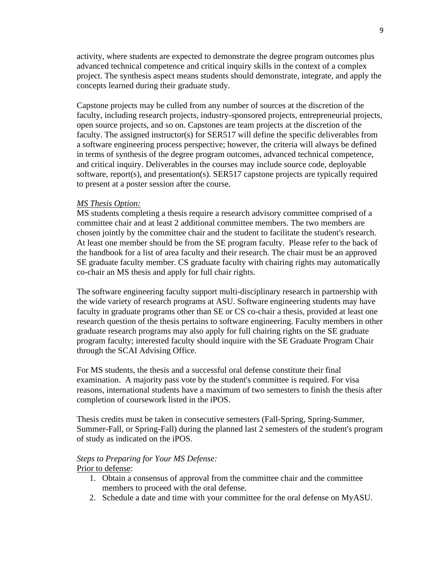activity, where students are expected to demonstrate the degree program outcomes plus advanced technical competence and critical inquiry skills in the context of a complex project. The synthesis aspect means students should demonstrate, integrate, and apply the concepts learned during their graduate study.

Capstone projects may be culled from any number of sources at the discretion of the faculty, including research projects, industry-sponsored projects, entrepreneurial projects, open source projects, and so on. Capstones are team projects at the discretion of the faculty. The assigned instructor(s) for SER517 will define the specific deliverables from a software engineering process perspective; however, the criteria will always be defined in terms of synthesis of the degree program outcomes, advanced technical competence, and critical inquiry. Deliverables in the courses may include source code, deployable software, report(s), and presentation(s). SER517 capstone projects are typically required to present at a poster session after the course.

#### <span id="page-12-0"></span>*MS Thesis Option:*

MS students completing a thesis require a research advisory committee comprised of a committee chair and at least 2 additional committee members. The two members are chosen jointly by the committee chair and the student to facilitate the student's research. At least one member should be from the SE program faculty. Please refer to the back of the handbook for a list of area faculty and their research. The chair must be an approved SE graduate faculty member. CS graduate faculty with chairing rights may automatically co-chair an MS thesis and apply for full chair rights.

The software engineering faculty support multi-disciplinary research in partnership with the wide variety of research programs at ASU. Software engineering students may have faculty in graduate programs other than SE or CS co-chair a thesis, provided at least one research question of the thesis pertains to software engineering. Faculty members in other graduate research programs may also apply for full chairing rights on the SE graduate program faculty; interested faculty should inquire with the SE Graduate Program Chair through the SCAI Advising Office.

For MS students, the thesis and a successful oral defense constitute their final examination. A majority pass vote by the student's committee is required. For visa reasons, international students have a maximum of two semesters to finish the thesis after completion of coursework listed in the iPOS.

Thesis credits must be taken in consecutive semesters (Fall-Spring, Spring-Summer, Summer-Fall, or Spring-Fall) during the planned last 2 semesters of the student's program of study as indicated on the iPOS.

#### <span id="page-12-1"></span>*Steps to Preparing for Your MS Defense:*

#### Prior to defense:

- 1. Obtain a consensus of approval from the committee chair and the committee members to proceed with the oral defense.
- 2. Schedule a date and time with your committee for the oral defense on MyASU.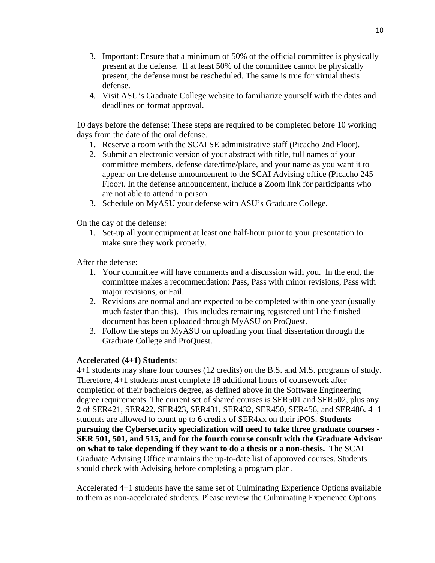- 3. Important: Ensure that a minimum of 50% of the official committee is physically present at the defense. If at least 50% of the committee cannot be physically present, the defense must be rescheduled. The same is true for virtual thesis defense.
- 4. Visit ASU's Graduate College website to familiarize yourself with the dates and deadlines on format approval.

10 days before the defense: These steps are required to be completed before 10 working days from the date of the oral defense.

- 1. Reserve a room with the SCAI SE administrative staff (Picacho 2nd Floor).
- 2. Submit an electronic version of your abstract with title, full names of your committee members, defense date/time/place, and your name as you want it to appear on the defense announcement to the SCAI Advising office (Picacho 245 Floor). In the defense announcement, include a Zoom link for participants who are not able to attend in person.
- 3. Schedule on MyASU your defense with ASU's Graduate College.

On the day of the defense:

1. Set-up all your equipment at least one half-hour prior to your presentation to make sure they work properly.

After the defense:

- 1. Your committee will have comments and a discussion with you. In the end, the committee makes a recommendation: Pass, Pass with minor revisions, Pass with major revisions, or Fail.
- 2. Revisions are normal and are expected to be completed within one year (usually much faster than this). This includes remaining registered until the finished document has been uploaded through MyASU on ProQuest.
- 3. Follow the steps on MyASU on uploading your final dissertation through the Graduate College and ProQuest.

#### **Accelerated (4+1) Students**:

4+1 students may share four courses (12 credits) on the B.S. and M.S. programs of study. Therefore, 4+1 students must complete 18 additional hours of coursework after completion of their bachelors degree, as defined above in the Software Engineering degree requirements. The current set of shared courses is SER501 and SER502, plus any 2 of SER421, SER422, SER423, SER431, SER432, SER450, SER456, and SER486. 4+1 students are allowed to count up to 6 credits of SER4xx on their iPOS. **Students pursuing the Cybersecurity specialization will need to take three graduate courses - SER 501, 501, and 515, and for the fourth course consult with the Graduate Advisor on what to take depending if they want to do a thesis or a non-thesis.** The SCAI Graduate Advising Office maintains the up-to-date list of approved courses. Students should check with Advising before completing a program plan.

Accelerated 4+1 students have the same set of Culminating Experience Options available to them as non-accelerated students. Please review the Culminating Experience Options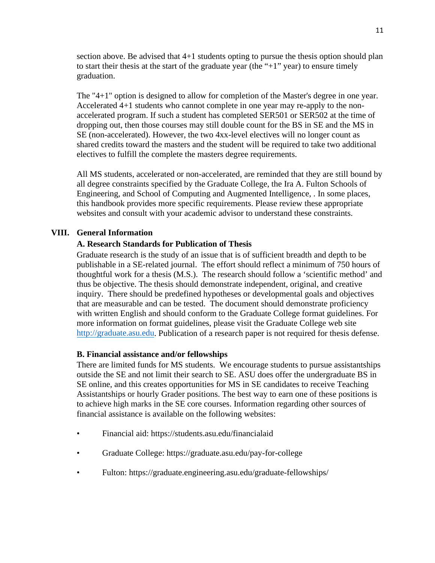section above. Be advised that 4+1 students opting to pursue the thesis option should plan to start their thesis at the start of the graduate year (the " $+1$ " year) to ensure timely graduation.

The "4+1" option is designed to allow for completion of the Master's degree in one year. Accelerated 4+1 students who cannot complete in one year may re-apply to the nonaccelerated program. If such a student has completed SER501 or SER502 at the time of dropping out, then those courses may still double count for the BS in SE and the MS in SE (non-accelerated). However, the two 4xx-level electives will no longer count as shared credits toward the masters and the student will be required to take two additional electives to fulfill the complete the masters degree requirements.

All MS students, accelerated or non-accelerated, are reminded that they are still bound by all degree constraints specified by the Graduate College, the Ira A. Fulton Schools of Engineering, and School of Computing and Augmented Intelligence, . In some places, this handbook provides more specific requirements. Please review these appropriate websites and consult with your academic advisor to understand these constraints.

#### <span id="page-14-1"></span><span id="page-14-0"></span>**VIII. General Information**

#### **A. Research Standards for Publication of Thesis**

Graduate research is the study of an issue that is of sufficient breadth and depth to be publishable in a SE-related journal. The effort should reflect a minimum of 750 hours of thoughtful work for a thesis (M.S.). The research should follow a 'scientific method' and thus be objective. The thesis should demonstrate independent, original, and creative inquiry. There should be predefined hypotheses or developmental goals and objectives that are measurable and can be tested. The document should demonstrate proficiency with written English and should conform to the Graduate College format guidelines. For more information on format guidelines, please visit the Graduate College web site [http://graduate.asu.edu.](http://graduate.asu.edu/) Publication of a research paper is not required for thesis defense.

#### <span id="page-14-2"></span>**B. Financial assistance and/or fellowships**

There are limited funds for MS students. We encourage students to pursue assistantships outside the SE and not limit their search to SE. ASU does offer the undergraduate BS in SE online, and this creates opportunities for MS in SE candidates to receive Teaching Assistantships or hourly Grader positions. The best way to earn one of these positions is to achieve high marks in the SE core courses. Information regarding other sources of financial assistance is available on the following websites:

- Financial aid: https://students.asu.edu/financialaid
- Graduate College: https://graduate.asu.edu/pay-for-college
- Fulton: https://graduate.engineering.asu.edu/graduate-fellowships/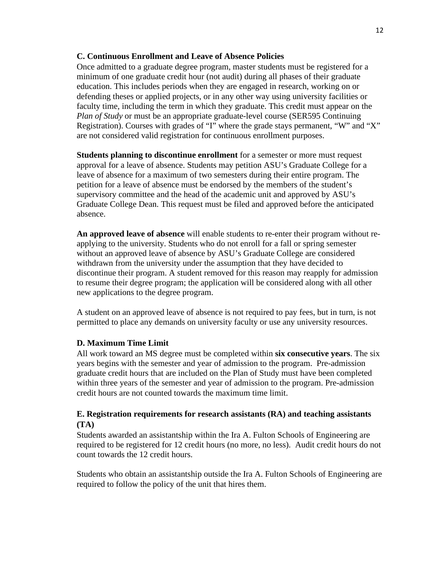#### <span id="page-15-0"></span>**C. Continuous Enrollment and Leave of Absence Policies**

Once admitted to a graduate degree program, master students must be registered for a minimum of one graduate credit hour (not audit) during all phases of their graduate education. This includes periods when they are engaged in research, working on or defending theses or applied projects, or in any other way using university facilities or faculty time, including the term in which they graduate. This credit must appear on the *Plan of Study* or must be an appropriate graduate-level course (SER595 Continuing Registration). Courses with grades of "I" where the grade stays permanent, "W" and "X" are not considered valid registration for continuous enrollment purposes.

**Students planning to discontinue enrollment** for a semester or more must request approval for a leave of absence. Students may petition ASU's Graduate College for a leave of absence for a maximum of two semesters during their entire program. The petition for a leave of absence must be endorsed by the members of the student's supervisory committee and the head of the academic unit and approved by ASU's Graduate College Dean. This request must be filed and approved before the anticipated absence.

**An approved leave of absence** will enable students to re-enter their program without reapplying to the university. Students who do not enroll for a fall or spring semester without an approved leave of absence by ASU's Graduate College are considered withdrawn from the university under the assumption that they have decided to discontinue their program. A student removed for this reason may reapply for admission to resume their degree program; the application will be considered along with all other new applications to the degree program.

A student on an approved leave of absence is not required to pay fees, but in turn, is not permitted to place any demands on university faculty or use any university resources.

#### <span id="page-15-1"></span>**D. Maximum Time Limit**

All work toward an MS degree must be completed within **six consecutive years**. The six years begins with the semester and year of admission to the program. Pre-admission graduate credit hours that are included on the Plan of Study must have been completed within three years of the semester and year of admission to the program. Pre-admission credit hours are not counted towards the maximum time limit.

#### <span id="page-15-2"></span>**E. Registration requirements for research assistants (RA) and teaching assistants (TA)**

Students awarded an assistantship within the Ira A. Fulton Schools of Engineering are required to be registered for 12 credit hours (no more, no less). Audit credit hours do not count towards the 12 credit hours.

Students who obtain an assistantship outside the Ira A. Fulton Schools of Engineering are required to follow the policy of the unit that hires them.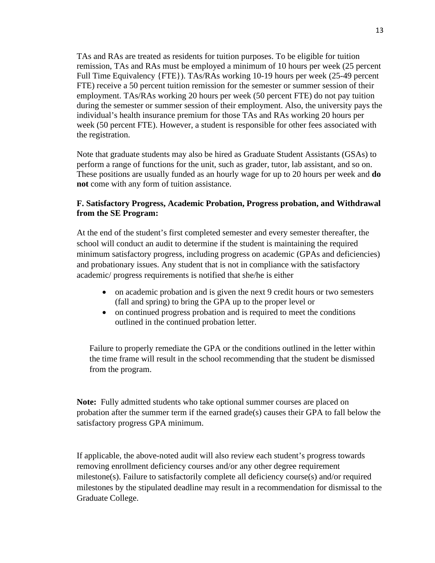TAs and RAs are treated as residents for tuition purposes. To be eligible for tuition remission, TAs and RAs must be employed a minimum of 10 hours per week (25 percent Full Time Equivalency {FTE}). TAs/RAs working 10-19 hours per week (25-49 percent FTE) receive a 50 percent tuition remission for the semester or summer session of their employment. TAs/RAs working 20 hours per week (50 percent FTE) do not pay tuition during the semester or summer session of their employment. Also, the university pays the individual's health insurance premium for those TAs and RAs working 20 hours per week (50 percent FTE). However, a student is responsible for other fees associated with the registration.

Note that graduate students may also be hired as Graduate Student Assistants (GSAs) to perform a range of functions for the unit, such as grader, tutor, lab assistant, and so on. These positions are usually funded as an hourly wage for up to 20 hours per week and **do not** come with any form of tuition assistance.

# <span id="page-16-0"></span>**F. Satisfactory Progress, Academic Probation, Progress probation, and Withdrawal from the SE Program:**

At the end of the student's first completed semester and every semester thereafter, the school will conduct an audit to determine if the student is maintaining the required minimum satisfactory progress, including progress on academic (GPAs and deficiencies) and probationary issues. Any student that is not in compliance with the satisfactory academic/ progress requirements is notified that she/he is either

- on academic probation and is given the next 9 credit hours or two semesters (fall and spring) to bring the GPA up to the proper level or
- on continued progress probation and is required to meet the conditions outlined in the continued probation letter.

Failure to properly remediate the GPA or the conditions outlined in the letter within the time frame will result in the school recommending that the student be dismissed from the program.

**Note:** Fully admitted students who take optional summer courses are placed on probation after the summer term if the earned  $grade(s)$  causes their GPA to fall below the satisfactory progress GPA minimum.

If applicable, the above-noted audit will also review each student's progress towards removing enrollment deficiency courses and/or any other degree requirement milestone(s). Failure to satisfactorily complete all deficiency course(s) and/or required milestones by the stipulated deadline may result in a recommendation for dismissal to the Graduate College.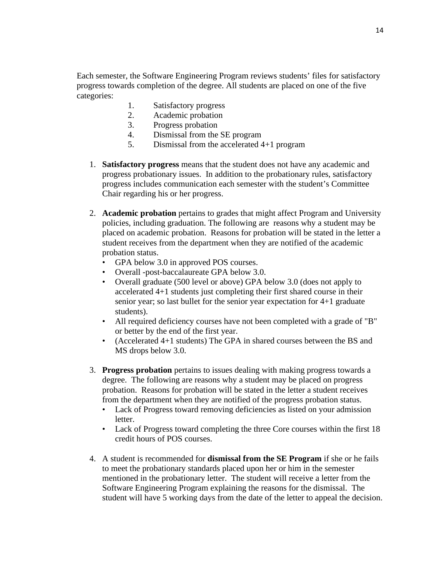Each semester, the Software Engineering Program reviews students' files for satisfactory progress towards completion of the degree. All students are placed on one of the five categories:

- 1. Satisfactory progress
- 2. Academic probation
- 3. Progress probation
- 4. Dismissal from the SE program
- 5. Dismissal from the accelerated 4+1 program
- 1. **Satisfactory progress** means that the student does not have any academic and progress probationary issues. In addition to the probationary rules, satisfactory progress includes communication each semester with the student's Committee Chair regarding his or her progress.
- 2. **Academic probation** pertains to grades that might affect Program and University policies, including graduation. The following are reasons why a student may be placed on academic probation. Reasons for probation will be stated in the letter a student receives from the department when they are notified of the academic probation status.
	- GPA below 3.0 in approved POS courses.
	- Overall -post-baccalaureate GPA below 3.0.
	- Overall graduate (500 level or above) GPA below 3.0 (does not apply to accelerated 4+1 students just completing their first shared course in their senior year; so last bullet for the senior year expectation for 4+1 graduate students).
	- All required deficiency courses have not been completed with a grade of "B" or better by the end of the first year.
	- (Accelerated 4+1 students) The GPA in shared courses between the BS and MS drops below 3.0.
- 3. **Progress probation** pertains to issues dealing with making progress towards a degree. The following are reasons why a student may be placed on progress probation. Reasons for probation will be stated in the letter a student receives from the department when they are notified of the progress probation status.
	- Lack of Progress toward removing deficiencies as listed on your admission letter.
	- Lack of Progress toward completing the three Core courses within the first 18 credit hours of POS courses.
- 4. A student is recommended for **dismissal from the SE Program** if she or he fails to meet the probationary standards placed upon her or him in the semester mentioned in the probationary letter. The student will receive a letter from the Software Engineering Program explaining the reasons for the dismissal. The student will have 5 working days from the date of the letter to appeal the decision.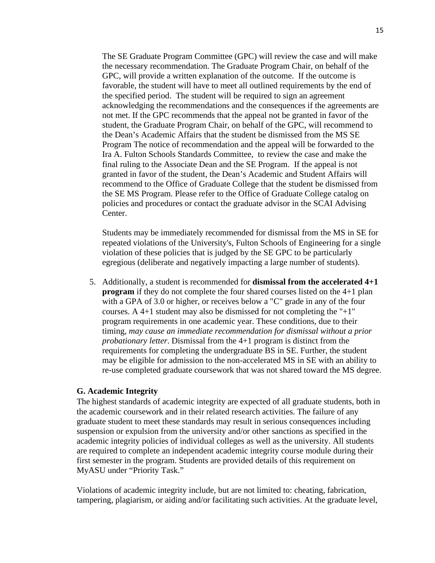The SE Graduate Program Committee (GPC) will review the case and will make the necessary recommendation. The Graduate Program Chair, on behalf of the GPC, will provide a written explanation of the outcome. If the outcome is favorable, the student will have to meet all outlined requirements by the end of the specified period. The student will be required to sign an agreement acknowledging the recommendations and the consequences if the agreements are not met. If the GPC recommends that the appeal not be granted in favor of the student, the Graduate Program Chair, on behalf of the GPC, will recommend to the Dean's Academic Affairs that the student be dismissed from the MS SE Program The notice of recommendation and the appeal will be forwarded to the Ira A. Fulton Schools Standards Committee, to review the case and make the final ruling to the Associate Dean and the SE Program. If the appeal is not granted in favor of the student, the Dean's Academic and Student Affairs will recommend to the Office of Graduate College that the student be dismissed from the SE MS Program. Please refer to the Office of Graduate College catalog on policies and procedures or contact the graduate advisor in the SCAI Advising Center.

Students may be immediately recommended for dismissal from the MS in SE for repeated violations of the University's, Fulton Schools of Engineering for a single violation of these policies that is judged by the SE GPC to be particularly egregious (deliberate and negatively impacting a large number of students).

5. Additionally, a student is recommended for **dismissal from the accelerated 4+1 program** if they do not complete the four shared courses listed on the 4+1 plan with a GPA of 3.0 or higher, or receives below a "C" grade in any of the four courses. A 4+1 student may also be dismissed for not completing the " $+1$ " program requirements in one academic year. These conditions, due to their timing, *may cause an immediate recommendation for dismissal without a prior probationary letter*. Dismissal from the 4+1 program is distinct from the requirements for completing the undergraduate BS in SE. Further, the student may be eligible for admission to the non-accelerated MS in SE with an ability to re-use completed graduate coursework that was not shared toward the MS degree.

#### <span id="page-18-0"></span>**G. Academic Integrity**

The highest standards of academic integrity are expected of all graduate students, both in the academic coursework and in their related research activities. The failure of any graduate student to meet these standards may result in serious consequences including suspension or expulsion from the university and/or other sanctions as specified in the academic integrity policies of individual colleges as well as the university. All students are required to complete an independent academic integrity course module during their first semester in the program. Students are provided details of this requirement on MyASU under "Priority Task."

Violations of academic integrity include, but are not limited to: cheating, fabrication, tampering, plagiarism, or aiding and/or facilitating such activities. At the graduate level,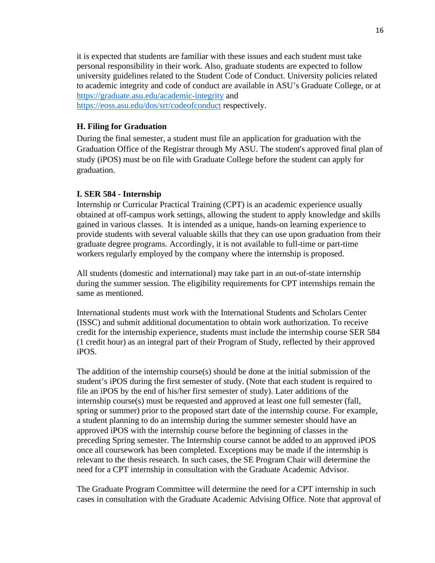it is expected that students are familiar with these issues and each student must take personal responsibility in their work. Also, graduate students are expected to follow university guidelines related to the Student Code of Conduct. University policies related to academic integrity and code of conduct are available in ASU's Graduate College, or at <https://graduate.asu.edu/academic-integrity> and <https://eoss.asu.edu/dos/srr/codeofconduct> respectively.

#### <span id="page-19-0"></span>**H. Filing for Graduation**

During the final semester, a student must file an application for graduation with the Graduation Office of the Registrar through My ASU. The student's approved final plan of study (iPOS) must be on file with Graduate College before the student can apply for graduation.

#### **I. SER 584 - Internship**

Internship or Curricular Practical Training (CPT) is an academic experience usually obtained at off-campus work settings, allowing the student to apply knowledge and skills gained in various classes. It is intended as a unique, hands-on learning experience to provide students with several valuable skills that they can use upon graduation from their graduate degree programs. Accordingly, it is not available to full-time or part-time workers regularly employed by the company where the internship is proposed.

All students (domestic and international) may take part in an out-of-state internship during the summer session. The eligibility requirements for CPT internships remain the same as mentioned.

International students must work with the International Students and Scholars Center (ISSC) and submit additional documentation to obtain work authorization. To receive credit for the internship experience, students must include the internship course SER 584 (1 credit hour) as an integral part of their Program of Study, reflected by their approved iPOS.

The addition of the internship course(s) should be done at the initial submission of the student's iPOS during the first semester of study. (Note that each student is required to file an iPOS by the end of his/her first semester of study). Later additions of the internship course(s) must be requested and approved at least one full semester (fall, spring or summer) prior to the proposed start date of the internship course. For example, a student planning to do an internship during the summer semester should have an approved iPOS with the internship course before the beginning of classes in the preceding Spring semester. The Internship course cannot be added to an approved iPOS once all coursework has been completed. Exceptions may be made if the internship is relevant to the thesis research. In such cases, the SE Program Chair will determine the need for a CPT internship in consultation with the Graduate Academic Advisor.

The Graduate Program Committee will determine the need for a CPT internship in such cases in consultation with the Graduate Academic Advising Office. Note that approval of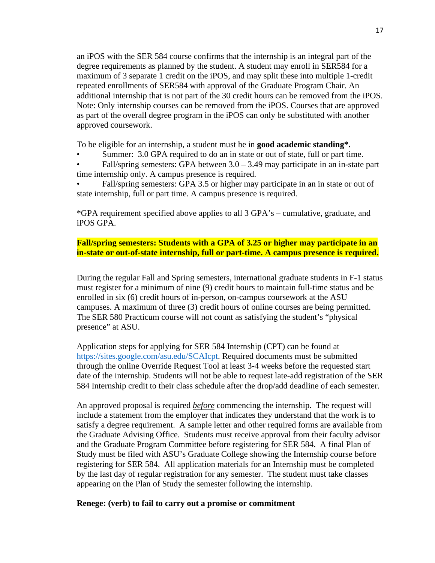an iPOS with the SER 584 course confirms that the internship is an integral part of the degree requirements as planned by the student. A student may enroll in SER584 for a maximum of 3 separate 1 credit on the iPOS, and may split these into multiple 1-credit repeated enrollments of SER584 with approval of the Graduate Program Chair. An additional internship that is not part of the 30 credit hours can be removed from the iPOS. Note: Only internship courses can be removed from the iPOS. Courses that are approved as part of the overall degree program in the iPOS can only be substituted with another approved coursework.

To be eligible for an internship, a student must be in **good academic standing\*.** 

- Summer: 3.0 GPA required to do an in state or out of state, full or part time.
- Fall/spring semesters: GPA between  $3.0 3.49$  may participate in an in-state part time internship only. A campus presence is required.
- Fall/spring semesters: GPA 3.5 or higher may participate in an in state or out of state internship, full or part time. A campus presence is required.

\*GPA requirement specified above applies to all 3 GPA's – cumulative, graduate, and iPOS GPA.

# **Fall/spring semesters: Students with a GPA of 3.25 or higher may participate in an in-state or out-of-state internship, full or part-time. A campus presence is required.**

During the regular Fall and Spring semesters, international graduate students in F-1 status must register for a minimum of nine (9) credit hours to maintain full-time status and be enrolled in six (6) credit hours of in-person, on-campus coursework at the ASU campuses. A maximum of three (3) credit hours of online courses are being permitted. The SER 580 Practicum course will not count as satisfying the student's "physical presence" at ASU.

Application steps for applying for SER 584 Internship (CPT) can be found at [https://sites.google.com/asu.edu/SCAIcpt.](https://sites.google.com/asu.edu/cidsecpt) Required documents must be submitted through the online Override Request Tool at least 3-4 weeks before the requested start date of the internship. Students will not be able to request late-add registration of the SER 584 Internship credit to their class schedule after the drop/add deadline of each semester.

An approved proposal is required *before* commencing the internship. The request will include a statement from the employer that indicates they understand that the work is to satisfy a degree requirement. A sample letter and other required forms are available from the Graduate Advising Office. Students must receive approval from their faculty advisor and the Graduate Program Committee before registering for SER 584. A final Plan of Study must be filed with ASU's Graduate College showing the Internship course before registering for SER 584. All application materials for an Internship must be completed by the last day of regular registration for any semester. The student must take classes appearing on the Plan of Study the semester following the internship.

#### **Renege: (verb) to fail to carry out a promise or commitment**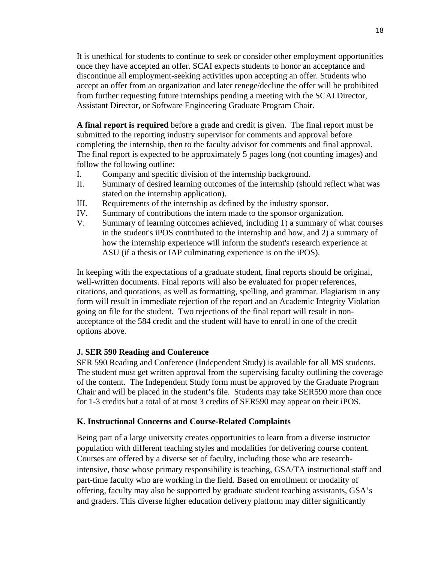It is unethical for students to continue to seek or consider other employment opportunities once they have accepted an offer. SCAI expects students to honor an acceptance and discontinue all employment-seeking activities upon accepting an offer. Students who accept an offer from an organization and later renege/decline the offer will be prohibited from further requesting future internships pending a meeting with the SCAI Director, Assistant Director, or Software Engineering Graduate Program Chair.

**A final report is required** before a grade and credit is given. The final report must be submitted to the reporting industry supervisor for comments and approval before completing the internship, then to the faculty advisor for comments and final approval. The final report is expected to be approximately 5 pages long (not counting images) and follow the following outline:

- I. Company and specific division of the internship background.
- II. Summary of desired learning outcomes of the internship (should reflect what was stated on the internship application).
- III. Requirements of the internship as defined by the industry sponsor.
- IV. Summary of contributions the intern made to the sponsor organization.
- V. Summary of learning outcomes achieved, including 1) a summary of what courses in the student's iPOS contributed to the internship and how, and 2) a summary of how the internship experience will inform the student's research experience at ASU (if a thesis or IAP culminating experience is on the iPOS).

In keeping with the expectations of a graduate student, final reports should be original, well-written documents. Final reports will also be evaluated for proper references, citations, and quotations, as well as formatting, spelling, and grammar. Plagiarism in any form will result in immediate rejection of the report and an Academic Integrity Violation going on file for the student. Two rejections of the final report will result in nonacceptance of the 584 credit and the student will have to enroll in one of the credit options above.

# <span id="page-21-0"></span>**J. SER 590 Reading and Conference**

SER 590 Reading and Conference (Independent Study) is available for all MS students. The student must get written approval from the supervising faculty outlining the coverage of the content. The Independent Study form must be approved by the Graduate Program Chair and will be placed in the student's file. Students may take SER590 more than once for 1-3 credits but a total of at most 3 credits of SER590 may appear on their iPOS.

#### <span id="page-21-1"></span>**K. Instructional Concerns and Course-Related Complaints**

Being part of a large university creates opportunities to learn from a diverse instructor population with different teaching styles and modalities for delivering course content. Courses are offered by a diverse set of faculty, including those who are researchintensive, those whose primary responsibility is teaching, GSA/TA instructional staff and part-time faculty who are working in the field. Based on enrollment or modality of offering, faculty may also be supported by graduate student teaching assistants, GSA's and graders. This diverse higher education delivery platform may differ significantly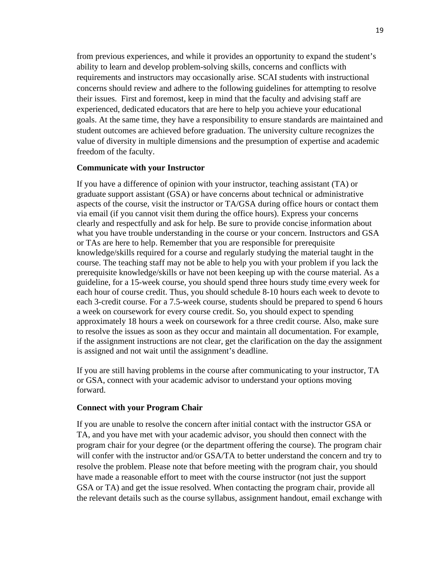from previous experiences, and while it provides an opportunity to expand the student's ability to learn and develop problem-solving skills, concerns and conflicts with requirements and instructors may occasionally arise. SCAI students with instructional concerns should review and adhere to the following guidelines for attempting to resolve their issues. First and foremost, keep in mind that the faculty and advising staff are experienced, dedicated educators that are here to help you achieve your educational goals. At the same time, they have a responsibility to ensure standards are maintained and student outcomes are achieved before graduation. The university culture recognizes the value of diversity in multiple dimensions and the presumption of expertise and academic freedom of the faculty.

#### **Communicate with your Instructor**

If you have a difference of opinion with your instructor, teaching assistant (TA) or graduate support assistant (GSA) or have concerns about technical or administrative aspects of the course, visit the instructor or TA/GSA during office hours or contact them via email (if you cannot visit them during the office hours). Express your concerns clearly and respectfully and ask for help. Be sure to provide concise information about what you have trouble understanding in the course or your concern. Instructors and GSA or TAs are here to help. Remember that you are responsible for prerequisite knowledge/skills required for a course and regularly studying the material taught in the course. The teaching staff may not be able to help you with your problem if you lack the prerequisite knowledge/skills or have not been keeping up with the course material. As a guideline, for a 15-week course, you should spend three hours study time every week for each hour of course credit. Thus, you should schedule 8-10 hours each week to devote to each 3-credit course. For a 7.5-week course, students should be prepared to spend 6 hours a week on coursework for every course credit. So, you should expect to spending approximately 18 hours a week on coursework for a three credit course. Also, make sure to resolve the issues as soon as they occur and maintain all documentation. For example, if the assignment instructions are not clear, get the clarification on the day the assignment is assigned and not wait until the assignment's deadline.

If you are still having problems in the course after communicating to your instructor, TA or GSA, connect with your academic advisor to understand your options moving forward.

#### **Connect with your Program Chair**

If you are unable to resolve the concern after initial contact with the instructor GSA or TA, and you have met with your academic advisor, you should then connect with the program chair for your degree (or the department offering the course). The program chair will confer with the instructor and/or GSA/TA to better understand the concern and try to resolve the problem. Please note that before meeting with the program chair, you should have made a reasonable effort to meet with the course instructor (not just the support GSA or TA) and get the issue resolved. When contacting the program chair, provide all the relevant details such as the course syllabus, assignment handout, email exchange with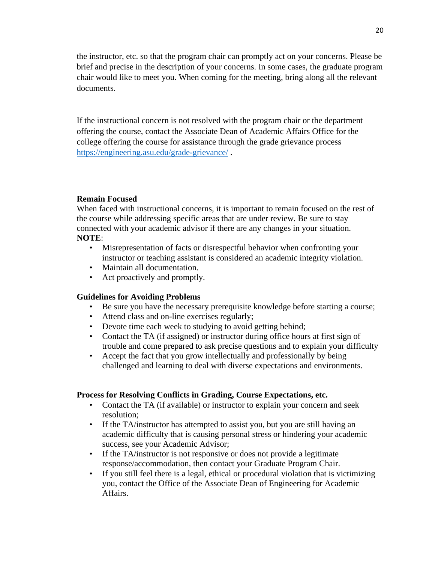the instructor, etc. so that the program chair can promptly act on your concerns. Please be brief and precise in the description of your concerns. In some cases, the graduate program chair would like to meet you. When coming for the meeting, bring along all the relevant documents.

If the instructional concern is not resolved with the program chair or the department offering the course, contact the Associate Dean of Academic Affairs Office for the college offering the course for assistance through the grade grievance process [https://engineering.asu.edu/grade-grievance/](https://urldefense.proofpoint.com/v2/url?u=https-3A__engineering.asu.edu_grade-2Dgrievance_&d=DwMFaQ&c=l45AxH-kUV29SRQusp9vYR0n1GycN4_2jInuKy6zbqQ&r=rniS3U_bSe5f7CqFGn54jdJ9YWrFwhUsElqJV5-nnpo&m=S6RHVGyPFzF9QwuKKMXGA-cR2zItXl-UtnZQHmHQJ4Q&s=cQHt0SlWXAMMjwIMFFm177XH0LzngTrM-WbgSATS9Bg&e=) .

#### **Remain Focused**

When faced with instructional concerns, it is important to remain focused on the rest of the course while addressing specific areas that are under review. Be sure to stay connected with your academic advisor if there are any changes in your situation. **NOTE**:

- Misrepresentation of facts or disrespectful behavior when confronting your instructor or teaching assistant is considered an academic integrity violation.
- Maintain all documentation.
- Act proactively and promptly.

#### **Guidelines for Avoiding Problems**

- Be sure you have the necessary prerequisite knowledge before starting a course;
- Attend class and on-line exercises regularly;
- Devote time each week to studying to avoid getting behind;
- Contact the TA (if assigned) or instructor during office hours at first sign of trouble and come prepared to ask precise questions and to explain your difficulty
- Accept the fact that you grow intellectually and professionally by being challenged and learning to deal with diverse expectations and environments.

#### **Process for Resolving Conflicts in Grading, Course Expectations, etc.**

- Contact the TA (if available) or instructor to explain your concern and seek resolution;
- If the TA/instructor has attempted to assist you, but you are still having an academic difficulty that is causing personal stress or hindering your academic success, see your Academic Advisor;
- If the TA/instructor is not responsive or does not provide a legitimate response/accommodation, then contact your Graduate Program Chair.
- If you still feel there is a legal, ethical or procedural violation that is victimizing you, contact the Office of the Associate Dean of Engineering for Academic Affairs.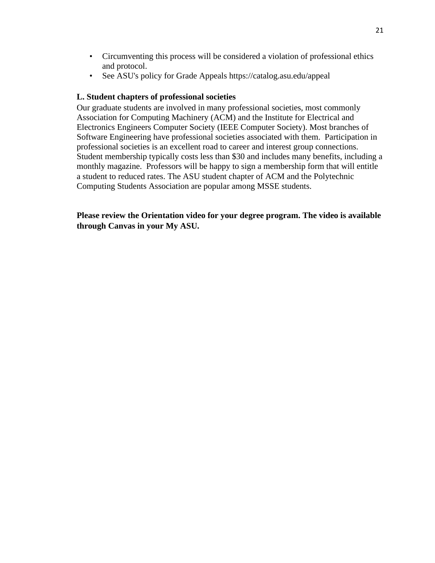- Circumventing this process will be considered a violation of professional ethics and protocol.
- See ASU's policy for Grade Appeals https://catalog.asu.edu/appeal

# <span id="page-24-0"></span>**L. Student chapters of professional societies**

Our graduate students are involved in many professional societies, most commonly Association for Computing Machinery (ACM) and the Institute for Electrical and Electronics Engineers Computer Society (IEEE Computer Society). Most branches of Software Engineering have professional societies associated with them. Participation in professional societies is an excellent road to career and interest group connections. Student membership typically costs less than \$30 and includes many benefits, including a monthly magazine. Professors will be happy to sign a membership form that will entitle a student to reduced rates. The ASU student chapter of ACM and the Polytechnic Computing Students Association are popular among MSSE students.

**Please review the Orientation video for your degree program. The video is available through Canvas in your My ASU.**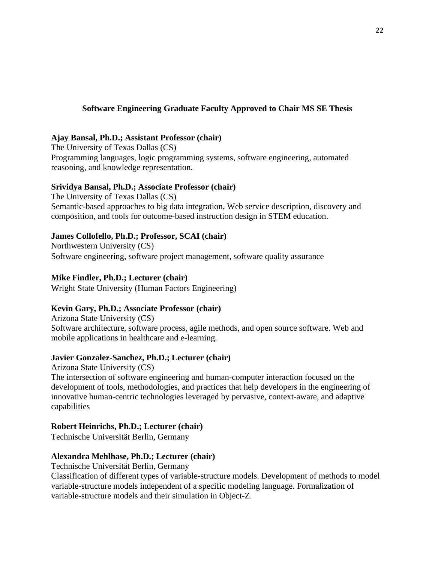# <span id="page-25-0"></span>**Software Engineering Graduate Faculty Approved to Chair MS SE Thesis**

#### **Ajay Bansal, Ph.D.; Assistant Professor (chair)**

The University of Texas Dallas (CS) Programming languages, logic programming systems, software engineering, automated reasoning, and knowledge representation.

# **Srividya Bansal, Ph.D.; Associate Professor (chair)**

The University of Texas Dallas (CS) Semantic-based approaches to big data integration, Web service description, discovery and composition, and tools for outcome-based instruction design in STEM education.

# **James Collofello, Ph.D.; Professor, SCAI (chair)**

Northwestern University (CS) Software engineering, software project management, software quality assurance

# **Mike Findler, Ph.D.; Lecturer (chair)**

Wright State University (Human Factors Engineering)

# **Kevin Gary, Ph.D.; Associate Professor (chair)**

Arizona State University (CS) Software architecture, software process, agile methods, and open source software. Web and mobile applications in healthcare and e-learning.

# **Javier Gonzalez-Sanchez, Ph.D.; Lecturer (chair)**

Arizona State University (CS) The intersection of software engineering and human-computer interaction focused on the development of tools, methodologies, and practices that help developers in the engineering of innovative human-centric technologies leveraged by pervasive, context-aware, and adaptive capabilities

# **Robert Heinrichs, Ph.D.; Lecturer (chair)**

Technische Universität Berlin, Germany

# **Alexandra Mehlhase, Ph.D.; Lecturer (chair)**

Technische Universität Berlin, Germany

Classification of different types of variable-structure models. Development of methods to model variable-structure models independent of a specific modeling language. Formalization of variable-structure models and their simulation in Object-Z.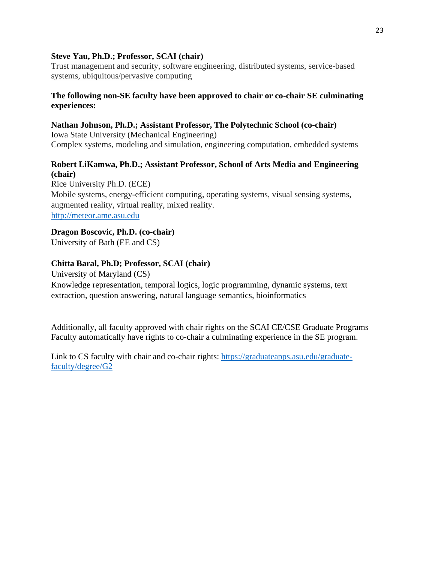# **Steve Yau, Ph.D.; Professor, SCAI (chair)**

Trust management and security, software engineering, distributed systems, service-based systems, ubiquitous/pervasive computing

# **The following non-SE faculty have been approved to chair or co-chair SE culminating experiences:**

# **Nathan Johnson, Ph.D.; Assistant Professor, The Polytechnic School (co-chair)**

Iowa State University (Mechanical Engineering) Complex systems, modeling and simulation, engineering computation, embedded systems

# **Robert LiKamwa, Ph.D.; Assistant Professor, School of Arts Media and Engineering (chair)**

Rice University Ph.D. (ECE) Mobile systems, energy-efficient computing, operating systems, visual sensing systems, augmented reality, virtual reality, mixed reality. http://meteor.ame.asu.edu

# **Dragon Boscovic, Ph.D. (co-chair)**

University of Bath (EE and CS)

# **Chitta Baral, Ph.D; Professor, SCAI (chair)**

University of Maryland (CS) Knowledge representation, temporal logics, logic programming, dynamic systems, text extraction, question answering, natural language semantics, bioinformatics

Additionally, all faculty approved with chair rights on the SCAI CE/CSE Graduate Programs Faculty automatically have rights to co-chair a culminating experience in the SE program.

Link to CS faculty with chair and co-chair rights: https://graduateapps.asu.edu/graduatefaculty/degree/G2